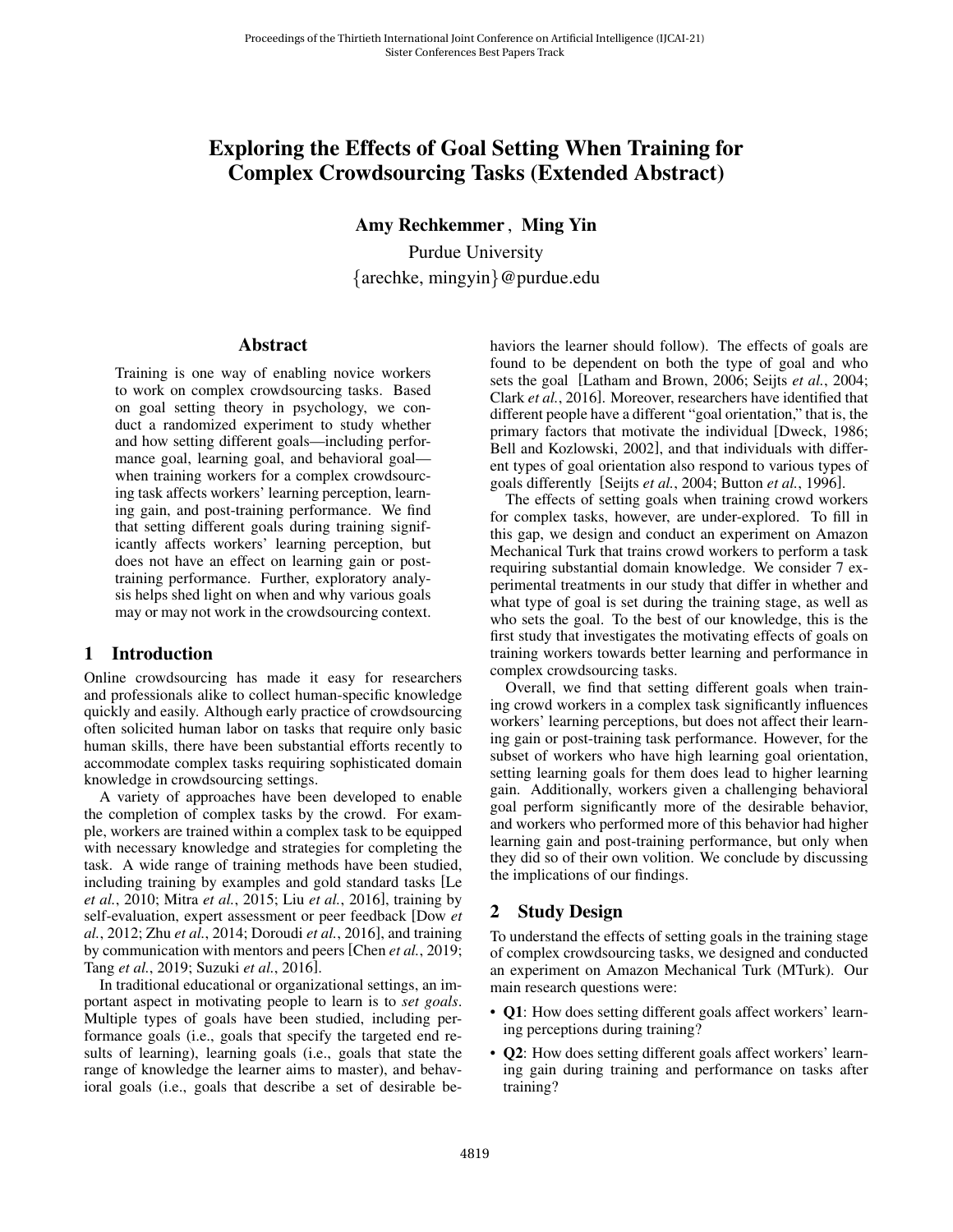# Exploring the Effects of Goal Setting When Training for Complex Crowdsourcing Tasks (Extended Abstract)

Amy Rechkemmer , Ming Yin

Purdue University {arechke, mingyin}@purdue.edu

### Abstract

Training is one way of enabling novice workers to work on complex crowdsourcing tasks. Based on goal setting theory in psychology, we conduct a randomized experiment to study whether and how setting different goals—including performance goal, learning goal, and behavioral goal when training workers for a complex crowdsourcing task affects workers' learning perception, learning gain, and post-training performance. We find that setting different goals during training significantly affects workers' learning perception, but does not have an effect on learning gain or posttraining performance. Further, exploratory analysis helps shed light on when and why various goals may or may not work in the crowdsourcing context.

### 1 Introduction

Online crowdsourcing has made it easy for researchers and professionals alike to collect human-specific knowledge quickly and easily. Although early practice of crowdsourcing often solicited human labor on tasks that require only basic human skills, there have been substantial efforts recently to accommodate complex tasks requiring sophisticated domain knowledge in crowdsourcing settings.

A variety of approaches have been developed to enable the completion of complex tasks by the crowd. For example, workers are trained within a complex task to be equipped with necessary knowledge and strategies for completing the task. A wide range of training methods have been studied, including training by examples and gold standard tasks [\[Le](#page-4-0) *et al.*[, 2010;](#page-4-0) Mitra *et al.*[, 2015;](#page-4-1) Liu *et al.*[, 2016\]](#page-4-2), training by self-evaluation, expert assessment or peer feedback [\[Dow](#page-4-3) *et al.*[, 2012;](#page-4-3) Zhu *et al.*[, 2014;](#page-4-4) [Doroudi](#page-4-5) *et al.*, 2016], and training by communication with mentors and peers [Chen *et al.*[, 2019;](#page-4-6) Tang *et al.*[, 2019;](#page-4-7) [Suzuki](#page-4-8) *et al.*, 2016].

In traditional educational or organizational settings, an important aspect in motivating people to learn is to *set goals*. Multiple types of goals have been studied, including performance goals (i.e., goals that specify the targeted end results of learning), learning goals (i.e., goals that state the range of knowledge the learner aims to master), and behavioral goals (i.e., goals that describe a set of desirable behaviors the learner should follow). The effects of goals are found to be dependent on both the type of goal and who sets the goal [\[Latham and Brown, 2006;](#page-4-9) Seijts *et al.*[, 2004;](#page-4-10) Clark *et al.*[, 2016\]](#page-4-11). Moreover, researchers have identified that different people have a different "goal orientation," that is, the primary factors that motivate the individual [\[Dweck, 1986;](#page-4-12) [Bell and Kozlowski, 2002\]](#page-4-13), and that individuals with different types of goal orientation also respond to various types of goals differently [Seijts *et al.*[, 2004;](#page-4-10) [Button](#page-4-14) *et al.*, 1996].

The effects of setting goals when training crowd workers for complex tasks, however, are under-explored. To fill in this gap, we design and conduct an experiment on Amazon Mechanical Turk that trains crowd workers to perform a task requiring substantial domain knowledge. We consider 7 experimental treatments in our study that differ in whether and what type of goal is set during the training stage, as well as who sets the goal. To the best of our knowledge, this is the first study that investigates the motivating effects of goals on training workers towards better learning and performance in complex crowdsourcing tasks.

Overall, we find that setting different goals when training crowd workers in a complex task significantly influences workers' learning perceptions, but does not affect their learning gain or post-training task performance. However, for the subset of workers who have high learning goal orientation, setting learning goals for them does lead to higher learning gain. Additionally, workers given a challenging behavioral goal perform significantly more of the desirable behavior, and workers who performed more of this behavior had higher learning gain and post-training performance, but only when they did so of their own volition. We conclude by discussing the implications of our findings.

## 2 Study Design

To understand the effects of setting goals in the training stage of complex crowdsourcing tasks, we designed and conducted an experiment on Amazon Mechanical Turk (MTurk). Our main research questions were:

- Q1: How does setting different goals affect workers' learning perceptions during training?
- **Q2**: How does setting different goals affect workers' learning gain during training and performance on tasks after training?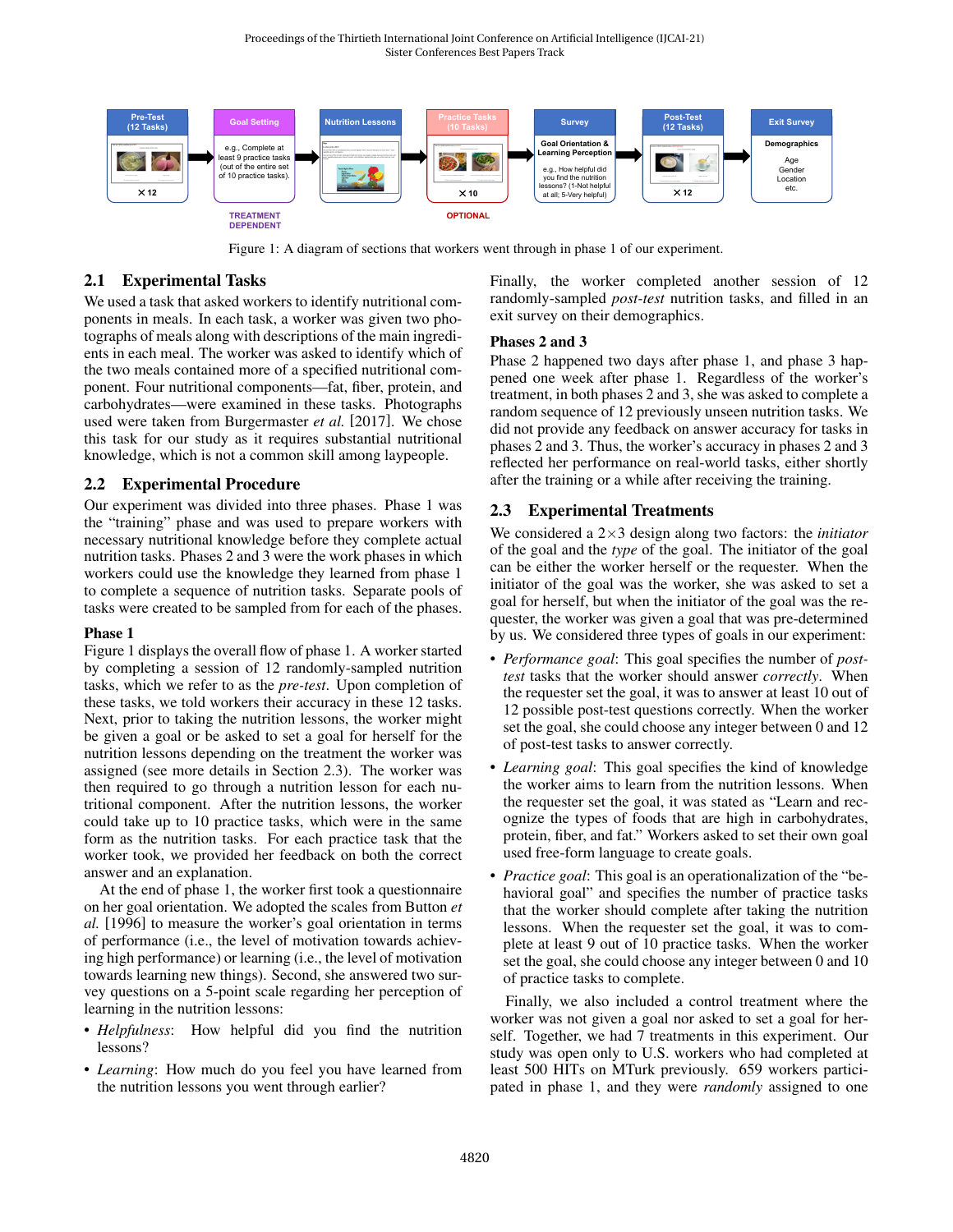<span id="page-1-0"></span>

Figure 1: A diagram of sections that workers went through in phase 1 of our experiment.

### 2.1 Experimental Tasks

We used a task that asked workers to identify nutritional components in meals. In each task, a worker was given two photographs of meals along with descriptions of the main ingredients in each meal. The worker was asked to identify which of the two meals contained more of a specified nutritional component. Four nutritional components—fat, fiber, protein, and carbohydrates—were examined in these tasks. Photographs used were taken from [Burgermaster](#page-4-15) *et al.* [\[2017\]](#page-4-15). We chose this task for our study as it requires substantial nutritional knowledge, which is not a common skill among laypeople.

### 2.2 Experimental Procedure

Our experiment was divided into three phases. Phase 1 was the "training" phase and was used to prepare workers with necessary nutritional knowledge before they complete actual nutrition tasks. Phases 2 and 3 were the work phases in which workers could use the knowledge they learned from phase 1 to complete a sequence of nutrition tasks. Separate pools of tasks were created to be sampled from for each of the phases.

#### Phase 1

Figure [1](#page-1-0) displays the overall flow of phase 1. A worker started by completing a session of 12 randomly-sampled nutrition tasks, which we refer to as the *pre-test*. Upon completion of these tasks, we told workers their accuracy in these 12 tasks. Next, prior to taking the nutrition lessons, the worker might be given a goal or be asked to set a goal for herself for the nutrition lessons depending on the treatment the worker was assigned (see more details in Section [2.3\)](#page-1-1). The worker was then required to go through a nutrition lesson for each nutritional component. After the nutrition lessons, the worker could take up to 10 practice tasks, which were in the same form as the nutrition tasks. For each practice task that the worker took, we provided her feedback on both the correct answer and an explanation.

At the end of phase 1, the worker first took a questionnaire on her goal orientation. We adopted the scales from [Button](#page-4-14) *et [al.](#page-4-14)* [\[1996\]](#page-4-14) to measure the worker's goal orientation in terms of performance (i.e., the level of motivation towards achieving high performance) or learning (i.e., the level of motivation towards learning new things). Second, she answered two survey questions on a 5-point scale regarding her perception of learning in the nutrition lessons:

- *Helpfulness*: How helpful did you find the nutrition lessons?
- *Learning*: How much do you feel you have learned from the nutrition lessons you went through earlier?

Finally, the worker completed another session of 12 randomly-sampled *post-test* nutrition tasks, and filled in an exit survey on their demographics.

#### Phases 2 and 3

Phase 2 happened two days after phase 1, and phase 3 happened one week after phase 1. Regardless of the worker's treatment, in both phases 2 and 3, she was asked to complete a random sequence of 12 previously unseen nutrition tasks. We did not provide any feedback on answer accuracy for tasks in phases 2 and 3. Thus, the worker's accuracy in phases 2 and 3 reflected her performance on real-world tasks, either shortly after the training or a while after receiving the training.

### <span id="page-1-1"></span>2.3 Experimental Treatments

We considered a 2×3 design along two factors: the *initiator* of the goal and the *type* of the goal. The initiator of the goal can be either the worker herself or the requester. When the initiator of the goal was the worker, she was asked to set a goal for herself, but when the initiator of the goal was the requester, the worker was given a goal that was pre-determined by us. We considered three types of goals in our experiment:

- *Performance goal*: This goal specifies the number of *posttest* tasks that the worker should answer *correctly*. When the requester set the goal, it was to answer at least 10 out of 12 possible post-test questions correctly. When the worker set the goal, she could choose any integer between 0 and 12 of post-test tasks to answer correctly.
- *Learning goal*: This goal specifies the kind of knowledge the worker aims to learn from the nutrition lessons. When the requester set the goal, it was stated as "Learn and recognize the types of foods that are high in carbohydrates, protein, fiber, and fat." Workers asked to set their own goal used free-form language to create goals.
- *Practice goal*: This goal is an operationalization of the "behavioral goal" and specifies the number of practice tasks that the worker should complete after taking the nutrition lessons. When the requester set the goal, it was to complete at least 9 out of 10 practice tasks. When the worker set the goal, she could choose any integer between 0 and 10 of practice tasks to complete.

Finally, we also included a control treatment where the worker was not given a goal nor asked to set a goal for herself. Together, we had 7 treatments in this experiment. Our study was open only to U.S. workers who had completed at least 500 HITs on MTurk previously. 659 workers participated in phase 1, and they were *randomly* assigned to one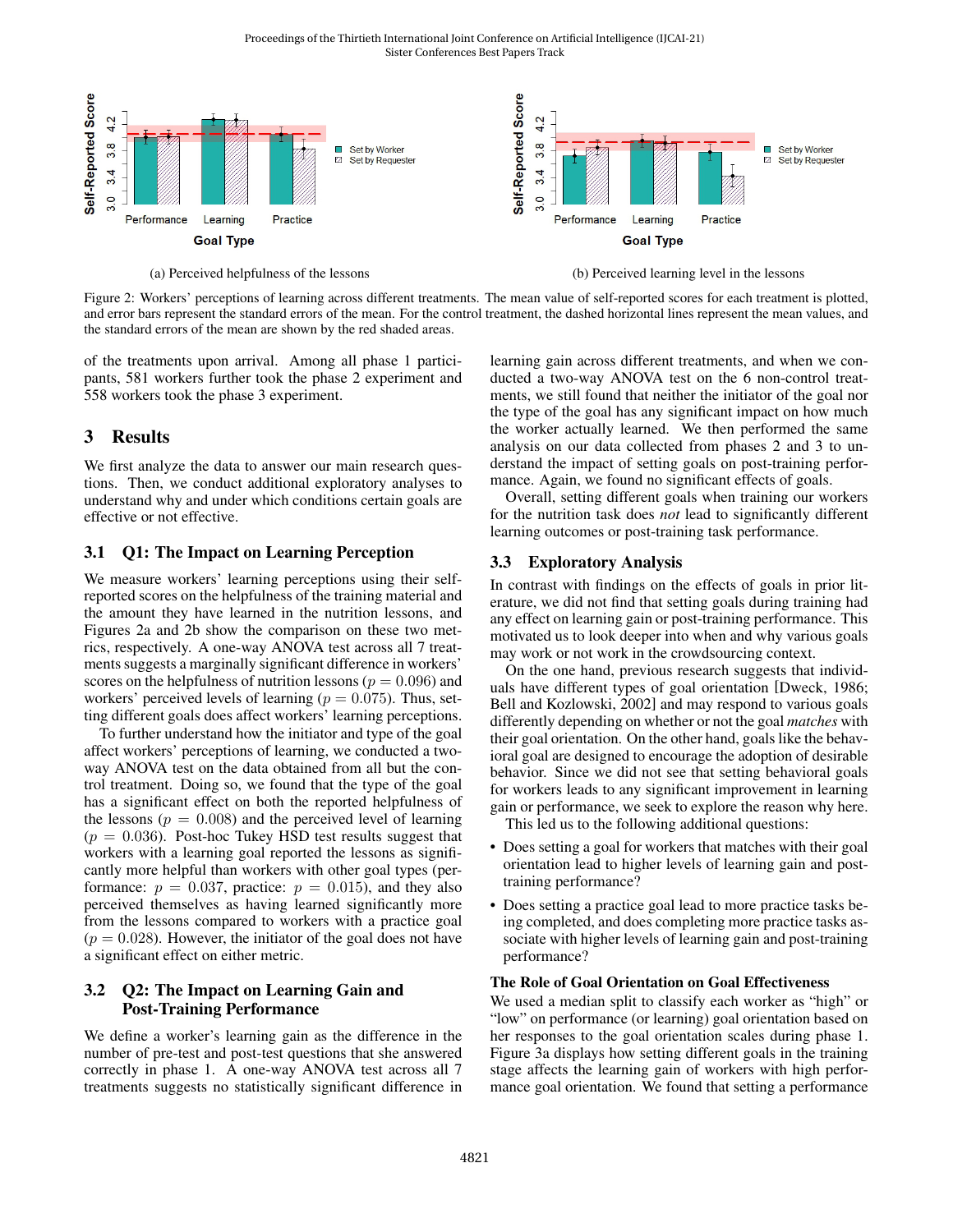Proceedings of the Thirtieth International Joint Conference on Artificial Intelligence (IJCAI-21) Sister Conferences Best Papers Track

<span id="page-2-0"></span>

Figure 2: Workers' perceptions of learning across different treatments. The mean value of self-reported scores for each treatment is plotted, and error bars represent the standard errors of the mean. For the control treatment, the dashed horizontal lines represent the mean values, and the standard errors of the mean are shown by the red shaded areas.

of the treatments upon arrival. Among all phase 1 participants, 581 workers further took the phase 2 experiment and 558 workers took the phase 3 experiment.

### 3 Results

We first analyze the data to answer our main research questions. Then, we conduct additional exploratory analyses to understand why and under which conditions certain goals are effective or not effective.

#### 3.1 Q1: The Impact on Learning Perception

We measure workers' learning perceptions using their selfreported scores on the helpfulness of the training material and the amount they have learned in the nutrition lessons, and Figures [2a](#page-2-0) and [2b](#page-2-0) show the comparison on these two metrics, respectively. A one-way ANOVA test across all 7 treatments suggests a marginally significant difference in workers' scores on the helpfulness of nutrition lessons ( $p = 0.096$ ) and workers' perceived levels of learning ( $p = 0.075$ ). Thus, setting different goals does affect workers' learning perceptions.

To further understand how the initiator and type of the goal affect workers' perceptions of learning, we conducted a twoway ANOVA test on the data obtained from all but the control treatment. Doing so, we found that the type of the goal has a significant effect on both the reported helpfulness of the lessons ( $p = 0.008$ ) and the perceived level of learning  $(p = 0.036)$ . Post-hoc Tukey HSD test results suggest that workers with a learning goal reported the lessons as significantly more helpful than workers with other goal types (performance:  $p = 0.037$ , practice:  $p = 0.015$ ), and they also perceived themselves as having learned significantly more from the lessons compared to workers with a practice goal  $(p = 0.028)$ . However, the initiator of the goal does not have a significant effect on either metric.

#### 3.2 Q2: The Impact on Learning Gain and Post-Training Performance

We define a worker's learning gain as the difference in the number of pre-test and post-test questions that she answered correctly in phase 1. A one-way ANOVA test across all 7 treatments suggests no statistically significant difference in learning gain across different treatments, and when we conducted a two-way ANOVA test on the 6 non-control treatments, we still found that neither the initiator of the goal nor the type of the goal has any significant impact on how much the worker actually learned. We then performed the same analysis on our data collected from phases 2 and 3 to understand the impact of setting goals on post-training performance. Again, we found no significant effects of goals.

Overall, setting different goals when training our workers for the nutrition task does *not* lead to significantly different learning outcomes or post-training task performance.

#### 3.3 Exploratory Analysis

In contrast with findings on the effects of goals in prior literature, we did not find that setting goals during training had any effect on learning gain or post-training performance. This motivated us to look deeper into when and why various goals may work or not work in the crowdsourcing context.

On the one hand, previous research suggests that individuals have different types of goal orientation [\[Dweck, 1986;](#page-4-12) [Bell and Kozlowski, 2002\]](#page-4-13) and may respond to various goals differently depending on whether or not the goal *matches* with their goal orientation. On the other hand, goals like the behavioral goal are designed to encourage the adoption of desirable behavior. Since we did not see that setting behavioral goals for workers leads to any significant improvement in learning gain or performance, we seek to explore the reason why here. This led us to the following additional questions:

• Does setting a goal for workers that matches with their goal orientation lead to higher levels of learning gain and posttraining performance?

• Does setting a practice goal lead to more practice tasks being completed, and does completing more practice tasks associate with higher levels of learning gain and post-training performance?

#### The Role of Goal Orientation on Goal Effectiveness

We used a median split to classify each worker as "high" or "low" on performance (or learning) goal orientation based on her responses to the goal orientation scales during phase 1. Figure [3a](#page-3-0) displays how setting different goals in the training stage affects the learning gain of workers with high performance goal orientation. We found that setting a performance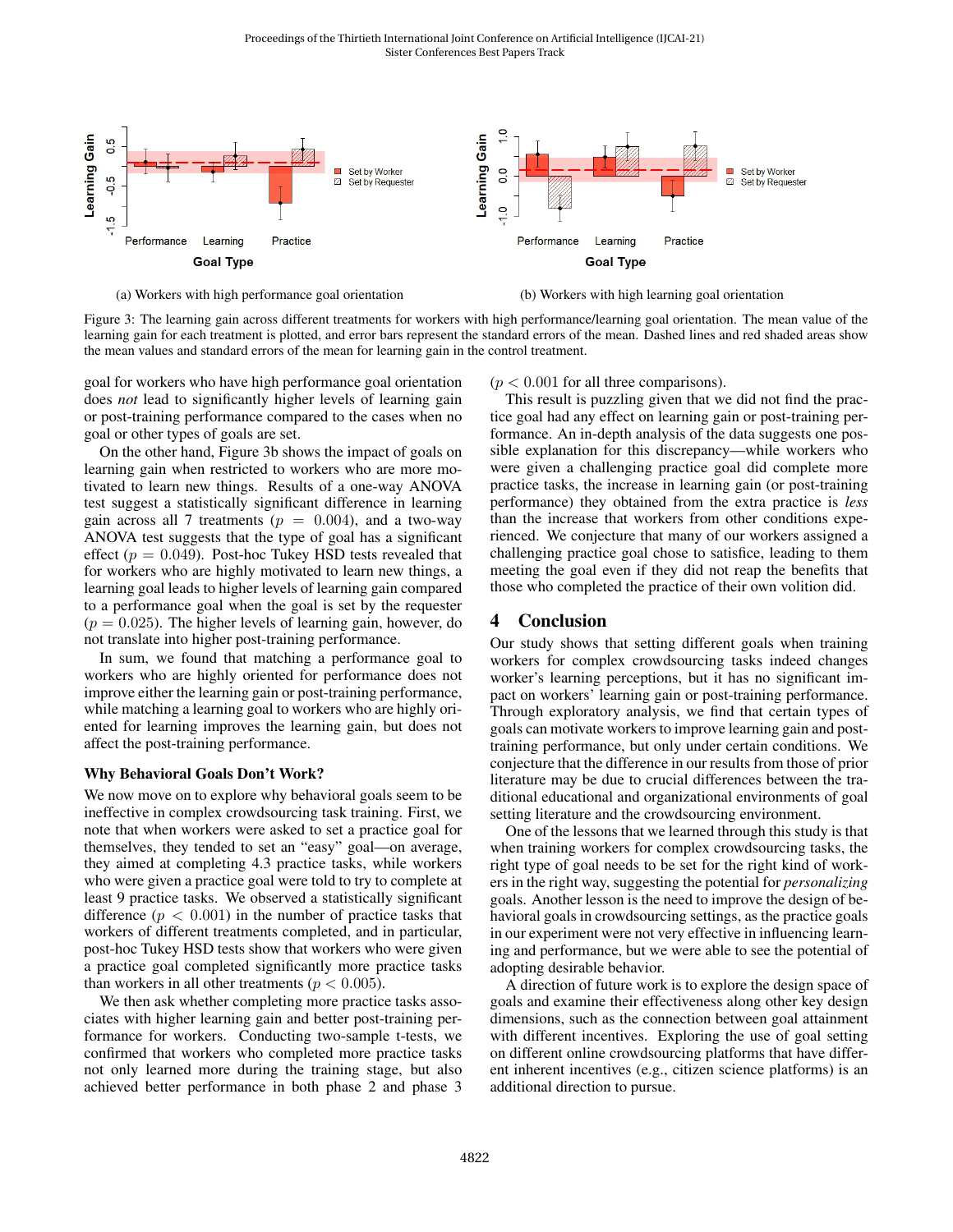<span id="page-3-0"></span>

(a) Workers with high performance goal orientation (b) Workers with high learning goal orientation

Figure 3: The learning gain across different treatments for workers with high performance/learning goal orientation. The mean value of the learning gain for each treatment is plotted, and error bars represent the standard errors of the mean. Dashed lines and red shaded areas show the mean values and standard errors of the mean for learning gain in the control treatment.

goal for workers who have high performance goal orientation does *not* lead to significantly higher levels of learning gain or post-training performance compared to the cases when no goal or other types of goals are set.

On the other hand, Figure [3b](#page-3-0) shows the impact of goals on learning gain when restricted to workers who are more motivated to learn new things. Results of a one-way ANOVA test suggest a statistically significant difference in learning gain across all 7 treatments ( $p = 0.004$ ), and a two-way ANOVA test suggests that the type of goal has a significant effect ( $p = 0.049$ ). Post-hoc Tukey HSD tests revealed that for workers who are highly motivated to learn new things, a learning goal leads to higher levels of learning gain compared to a performance goal when the goal is set by the requester  $(p = 0.025)$ . The higher levels of learning gain, however, do not translate into higher post-training performance.

In sum, we found that matching a performance goal to workers who are highly oriented for performance does not improve either the learning gain or post-training performance, while matching a learning goal to workers who are highly oriented for learning improves the learning gain, but does not affect the post-training performance.

#### Why Behavioral Goals Don't Work?

We now move on to explore why behavioral goals seem to be ineffective in complex crowdsourcing task training. First, we note that when workers were asked to set a practice goal for themselves, they tended to set an "easy" goal—on average, they aimed at completing 4.3 practice tasks, while workers who were given a practice goal were told to try to complete at least 9 practice tasks. We observed a statistically significant difference  $(p < 0.001)$  in the number of practice tasks that workers of different treatments completed, and in particular, post-hoc Tukey HSD tests show that workers who were given a practice goal completed significantly more practice tasks than workers in all other treatments ( $p < 0.005$ ).

We then ask whether completing more practice tasks associates with higher learning gain and better post-training performance for workers. Conducting two-sample t-tests, we confirmed that workers who completed more practice tasks not only learned more during the training stage, but also achieved better performance in both phase 2 and phase 3  $(p < 0.001$  for all three comparisons).

This result is puzzling given that we did not find the practice goal had any effect on learning gain or post-training performance. An in-depth analysis of the data suggests one possible explanation for this discrepancy—while workers who were given a challenging practice goal did complete more practice tasks, the increase in learning gain (or post-training performance) they obtained from the extra practice is *less* than the increase that workers from other conditions experienced. We conjecture that many of our workers assigned a challenging practice goal chose to satisfice, leading to them meeting the goal even if they did not reap the benefits that those who completed the practice of their own volition did.

### 4 Conclusion

Our study shows that setting different goals when training workers for complex crowdsourcing tasks indeed changes worker's learning perceptions, but it has no significant impact on workers' learning gain or post-training performance. Through exploratory analysis, we find that certain types of goals can motivate workers to improve learning gain and posttraining performance, but only under certain conditions. We conjecture that the difference in our results from those of prior literature may be due to crucial differences between the traditional educational and organizational environments of goal setting literature and the crowdsourcing environment.

One of the lessons that we learned through this study is that when training workers for complex crowdsourcing tasks, the right type of goal needs to be set for the right kind of workers in the right way, suggesting the potential for *personalizing* goals. Another lesson is the need to improve the design of behavioral goals in crowdsourcing settings, as the practice goals in our experiment were not very effective in influencing learning and performance, but we were able to see the potential of adopting desirable behavior.

A direction of future work is to explore the design space of goals and examine their effectiveness along other key design dimensions, such as the connection between goal attainment with different incentives. Exploring the use of goal setting on different online crowdsourcing platforms that have different inherent incentives (e.g., citizen science platforms) is an additional direction to pursue.